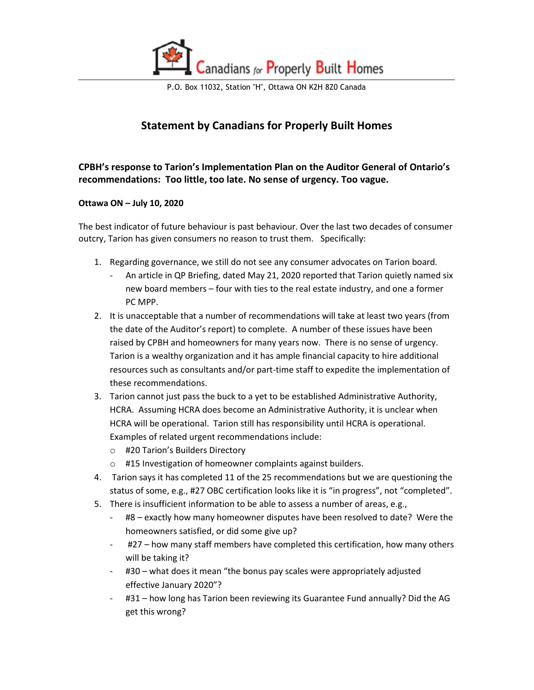

## **Statement by Canadians for Properly Built Homes**

**CPBH's response to Tarion's Implementation Plan on the Auditor General of Ontario's recommendations: Too little, too late. No sense of urgency. Too vague.**

## **Ottawa ON – July 10, 2020**

The best indicator of future behaviour is past behaviour. Over the last two decades of consumer outcry, Tarion has given consumers no reason to trust them. Specifically:

- 1. Regarding governance, we still do not see any consumer advocates on Tarion board.
	- An article in QP Briefing, dated May 21, 2020 reported that Tarion quietly named six new board members – four with ties to the real estate industry, and one a former PC MPP.
- 2. It is unacceptable that a number of recommendations will take at least two years (from the date of the Auditor's report) to complete. A number of these issues have been raised by CPBH and homeowners for many years now. There is no sense of urgency. Tarion is a wealthy organization and it has ample financial capacity to hire additional resources such as consultants and/or part-time staff to expedite the implementation of these recommendations.
- 3. Tarion cannot just pass the buck to a yet to be established Administrative Authority, HCRA. Assuming HCRA does become an Administrative Authority, it is unclear when HCRA will be operational. Tarion still has responsibility until HCRA is operational. Examples of related urgent recommendations include:
	- o #20 Tarion's Builders Directory
	- o #15 Investigation of homeowner complaints against builders.
- 4. Tarion says it has completed 11 of the 25 recommendations but we are questioning the status of some, e.g., #27 OBC certification looks like it is "in progress", not "completed".
- 5. There is insufficient information to be able to assess a number of areas, e.g.,
	- #8 exactly how many homeowner disputes have been resolved to date? Were the homeowners satisfied, or did some give up?
	- #27 how many staff members have completed this certification, how many others will be taking it?
	- #30 what does it mean "the bonus pay scales were appropriately adjusted effective January 2020"?
	- #31 how long has Tarion been reviewing its Guarantee Fund annually? Did the AG get this wrong?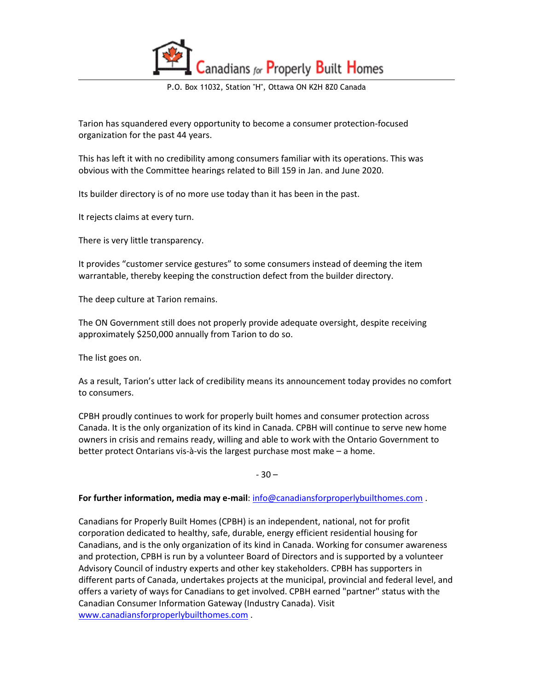

Tarion has squandered every opportunity to become a consumer protection-focused organization for the past 44 years.

This has left it with no credibility among consumers familiar with its operations. This was obvious with the Committee hearings related to Bill 159 in Jan. and June 2020.

Its builder directory is of no more use today than it has been in the past.

It rejects claims at every turn.

There is very little transparency.

It provides "customer service gestures" to some consumers instead of deeming the item warrantable, thereby keeping the construction defect from the builder directory.

The deep culture at Tarion remains.

The ON Government still does not properly provide adequate oversight, despite receiving approximately \$250,000 annually from Tarion to do so.

The list goes on.

As a result, Tarion's utter lack of credibility means its announcement today provides no comfort to consumers.

CPBH proudly continues to work for properly built homes and consumer protection across Canada. It is the only organization of its kind in Canada. CPBH will continue to serve new home owners in crisis and remains ready, willing and able to work with the Ontario Government to better protect Ontarians vis-à-vis the largest purchase most make – a home.

 $-30-$ 

## **For further information, media may e-mail**[: info@canadiansforproperlybuilthomes.com](mailto:info@canadiansforproperlybuilthomes.com) .

Canadians for Properly Built Homes (CPBH) is an independent, national, not for profit corporation dedicated to healthy, safe, durable, energy efficient residential housing for Canadians, and is the only organization of its kind in Canada. Working for consumer awareness and protection, CPBH is run by a volunteer Board of Directors and is supported by a volunteer Advisory Council of industry experts and other key stakeholders. CPBH has supporters in different parts of Canada, undertakes projects at the municipal, provincial and federal level, and offers a variety of ways for Canadians to get involved. CPBH earned "partner" status with the Canadian Consumer Information Gateway (Industry Canada). Visit [www.canadiansforproperlybuilthomes.com](http://www.canadiansforproperlybuilthomes.com/) .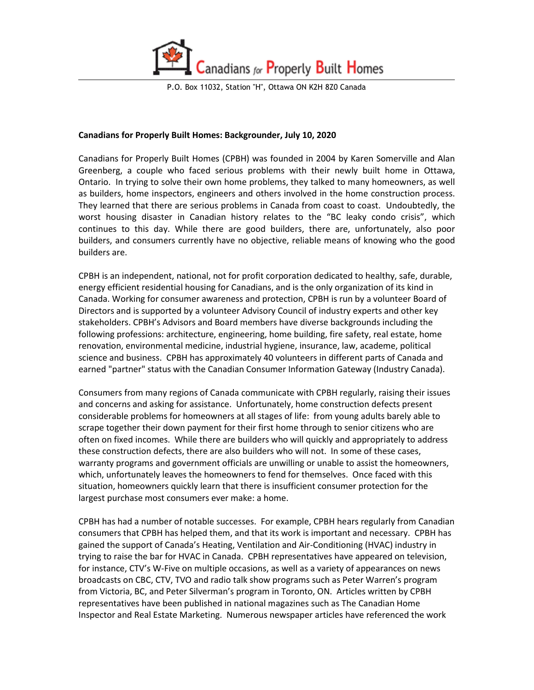

## **Canadians for Properly Built Homes: Backgrounder, July 10, 2020**

Canadians for Properly Built Homes (CPBH) was founded in 2004 by Karen Somerville and Alan Greenberg, a couple who faced serious problems with their newly built home in Ottawa, Ontario. In trying to solve their own home problems, they talked to many homeowners, as well as builders, home inspectors, engineers and others involved in the home construction process. They learned that there are serious problems in Canada from coast to coast. Undoubtedly, the worst housing disaster in Canadian history relates to the "BC leaky condo crisis", which continues to this day. While there are good builders, there are, unfortunately, also poor builders, and consumers currently have no objective, reliable means of knowing who the good builders are.

CPBH is an independent, national, not for profit corporation dedicated to healthy, safe, durable, energy efficient residential housing for Canadians, and is the only organization of its kind in Canada. Working for consumer awareness and protection, CPBH is run by a volunteer Board of Directors and is supported by a volunteer Advisory Council of industry experts and other key stakeholders. CPBH's Advisors and Board members have diverse backgrounds including the following professions: architecture, engineering, home building, fire safety, real estate, home renovation, environmental medicine, industrial hygiene, insurance, law, academe, political science and business. CPBH has approximately 40 volunteers in different parts of Canada and earned "partner" status with the Canadian Consumer Information Gateway (Industry Canada).

Consumers from many regions of Canada communicate with CPBH regularly, raising their issues and concerns and asking for assistance. Unfortunately, home construction defects present considerable problems for homeowners at all stages of life: from young adults barely able to scrape together their down payment for their first home through to senior citizens who are often on fixed incomes. While there are builders who will quickly and appropriately to address these construction defects, there are also builders who will not. In some of these cases, warranty programs and government officials are unwilling or unable to assist the homeowners, which, unfortunately leaves the homeowners to fend for themselves. Once faced with this situation, homeowners quickly learn that there is insufficient consumer protection for the largest purchase most consumers ever make: a home.

CPBH has had a number of notable successes. For example, CPBH hears regularly from Canadian consumers that CPBH has helped them, and that its work is important and necessary. CPBH has gained the support of Canada's Heating, Ventilation and Air-Conditioning (HVAC) industry in trying to raise the bar for HVAC in Canada. CPBH representatives have appeared on television, for instance, CTV's W-Five on multiple occasions, as well as a variety of appearances on news broadcasts on CBC, CTV, TVO and radio talk show programs such as Peter Warren's program from Victoria, BC, and Peter Silverman's program in Toronto, ON. Articles written by CPBH representatives have been published in national magazines such as The Canadian Home Inspector and Real Estate Marketing. Numerous newspaper articles have referenced the work